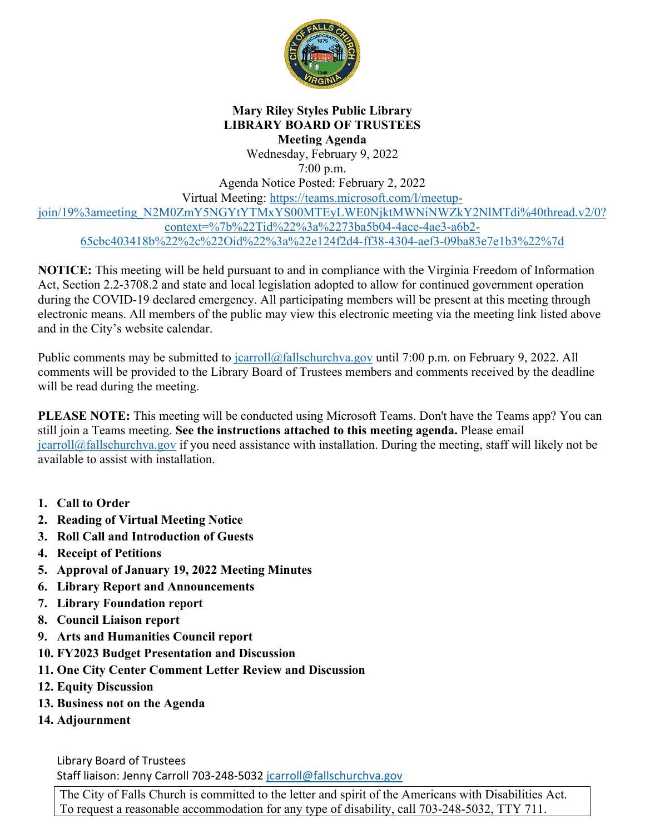

## **Mary Riley Styles Public Library LIBRARY BOARD OF TRUSTEES Meeting Agenda**

Wednesday, February 9, 2022 7:00 p.m. Agenda Notice Posted: February 2, 2022 Virtual Meeting: https://teams.microsoft.com/l/meetupjoin/19%3ameeting\_N2M0ZmY5NGYtYTMxYS00MTEyLWE0NjktMWNiNWZkY2NlMTdi%40thread.v2/0? context=%7b%22Tid%22%3a%2273ba5b04-4ace-4ae3-a6b2- 65cbc403418b%22%2c%22Oid%22%3a%22e124f2d4-ff38-4304-aef3-09ba83e7e1b3%22%7d

**NOTICE:** This meeting will be held pursuant to and in compliance with the Virginia Freedom of Information Act, Section 2.2-3708.2 and state and local legislation adopted to allow for continued government operation during the COVID-19 declared emergency. All participating members will be present at this meeting through electronic means. All members of the public may view this electronic meeting via the meeting link listed above and in the City's website calendar.

Public comments may be submitted to *jcarroll@fallschurchva.gov* until 7:00 p.m. on February 9, 2022. All comments will be provided to the Library Board of Trustees members and comments received by the deadline will be read during the meeting.

**PLEASE NOTE:** This meeting will be conducted using Microsoft Teams. Don't have the Teams app? You can still join a Teams meeting. **See the instructions attached to this meeting agenda.** Please email jcarroll@fallschurchva.gov if you need assistance with installation. During the meeting, staff will likely not be available to assist with installation.

- **1. Call to Order**
- **2. Reading of Virtual Meeting Notice**
- **3. Roll Call and Introduction of Guests**
- **4. Receipt of Petitions**
- **5. Approval of January 19, 2022 Meeting Minutes**
- **6. Library Report and Announcements**
- **7. Library Foundation report**
- **8. Council Liaison report**
- **9. Arts and Humanities Council report**
- **10. FY2023 Budget Presentation and Discussion**
- **11. One City Center Comment Letter Review and Discussion**
- **12. Equity Discussion**
- **13. Business not on the Agenda**
- **14. Adjournment**

Library Board of Trustees Staff liaison: Jenny Carroll 703-248-5032 jcarroll@fallschurchva.gov

The City of Falls Church is committed to the letter and spirit of the Americans with Disabilities Act. To request a reasonable accommodation for any type of disability, call 703-248-5032, TTY 711.